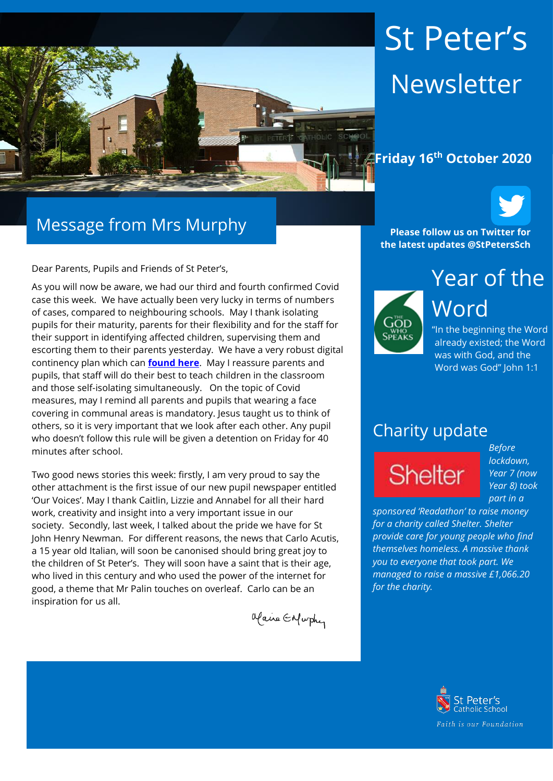

# St Peter's Newsletter

#### **Friday 16th October 2020**



Dear Parents, Pupils and Friends of St Peter's,

As you will now be aware, we had our third and fourth confirmed Covid case this week. We have actually been very lucky in terms of numbers of cases, compared to neighbouring schools. May I thank isolating pupils for their maturity, parents for their flexibility and for the staff for their support in identifying affected children, supervising them and escorting them to their parents yesterday. We have a very robust digital continency plan which can **[found here](https://www.st-peters.solihull.sch.uk/media/uploads/St-Peters-Catholic-School-Digital-Contingency-Plan-Sept-2020-1.pdf)**. May I reassure parents and pupils, that staff will do their best to teach children in the classroom and those self-isolating simultaneously. On the topic of Covid measures, may I remind all parents and pupils that wearing a face covering in communal areas is mandatory. Jesus taught us to think of others, so it is very important that we look after each other. Any pupil who doesn't follow this rule will be given a detention on Friday for 40 minutes after school.

Two good news stories this week: firstly, I am very proud to say the other attachment is the first issue of our new pupil newspaper entitled 'Our Voices'. May I thank Caitlin, Lizzie and Annabel for all their hard work, creativity and insight into a very important issue in our society. Secondly, last week, I talked about the pride we have for St John Henry Newman. For different reasons, the news that Carlo Acutis, a 15 year old Italian, will soon be canonised should bring great joy to the children of St Peter's. They will soon have a saint that is their age, who lived in this century and who used the power of the internet for good, a theme that Mr Palin touches on overleaf. Carlo can be an inspiration for us all.

Olaire Enfurthy

**Please follow us on Twitter for the latest updates @StPetersSch**



Year of the Word "In the beginning the Word

already existed; the Word was with God, and the Word was God" John 1:1

#### Charity update

**Shelter** 

*Before lockdown, Year 7 (now Year 8) took part in a* 

*sponsored 'Readathon' to raise money for a charity called Shelter. Shelter provide care for young people who find themselves homeless. A massive thank you to everyone that took part. We managed to raise a massive £1,066.20 for the charity.* 

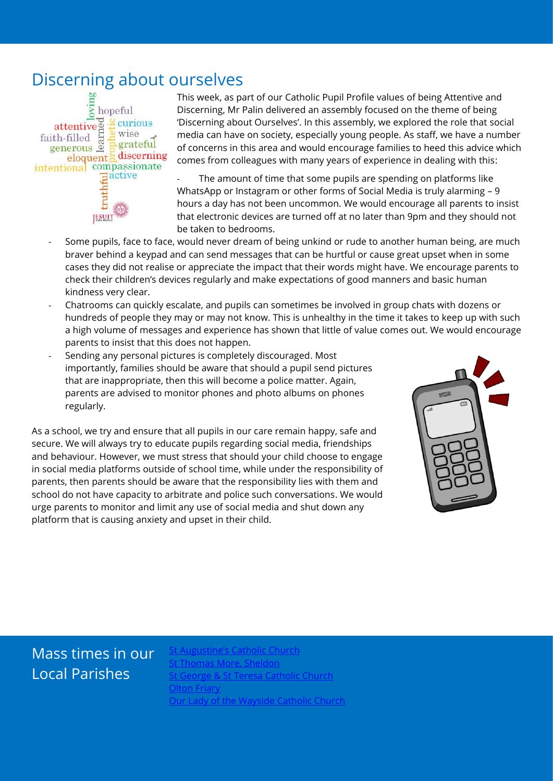### Discerning about ourselves



This week, as part of our Catholic Pupil Profile values of being Attentive and Discerning, Mr Palin delivered an assembly focused on the theme of being 'Discerning about Ourselves'. In this assembly, we explored the role that social media can have on society, especially young people. As staff, we have a number of concerns in this area and would encourage families to heed this advice which comes from colleagues with many years of experience in dealing with this:

The amount of time that some pupils are spending on platforms like WhatsApp or Instagram or other forms of Social Media is truly alarming – 9 hours a day has not been uncommon. We would encourage all parents to insist that electronic devices are turned off at no later than 9pm and they should not be taken to bedrooms.

- Some pupils, face to face, would never dream of being unkind or rude to another human being, are much braver behind a keypad and can send messages that can be hurtful or cause great upset when in some cases they did not realise or appreciate the impact that their words might have. We encourage parents to check their children's devices regularly and make expectations of good manners and basic human kindness very clear.
- Chatrooms can quickly escalate, and pupils can sometimes be involved in group chats with dozens or hundreds of people they may or may not know. This is unhealthy in the time it takes to keep up with such a high volume of messages and experience has shown that little of value comes out. We would encourage parents to insist that this does not happen.
- Sending any personal pictures is completely discouraged. Most importantly, families should be aware that should a pupil send pictures that are inappropriate, then this will become a police matter. Again, parents are advised to monitor phones and photo albums on phones regularly.

As a school, we try and ensure that all pupils in our care remain happy, safe and secure. We will always try to educate pupils regarding social media, friendships and behaviour. However, we must stress that should your child choose to engage in social media platforms outside of school time, while under the responsibility of parents, then parents should be aware that the responsibility lies with them and school do not have capacity to arbitrate and police such conversations. We would urge parents to monitor and limit any use of social media and shut down any platform that is causing anxiety and upset in their child.



### Mass times in our Local Parishes

**Sugustine's Catholic Church** [St Thomas More, Sheldon](https://www.stthomasmorercchurch.com/) orge & St Teresa Catholic Church **[Olton Friary](https://www.oltonfriary.org.uk/)** [Our Lady of the Wayside Catholic Church](http://ourladyofthewaysidechurchshirley.co.uk/)